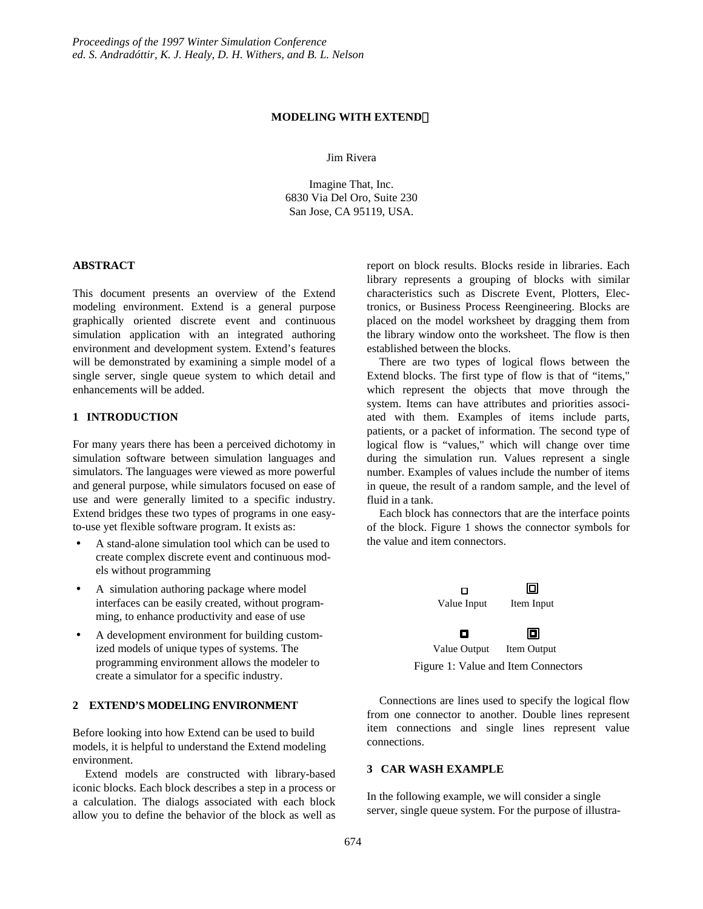### **MODELING WITH EXTEND**

Jim Rivera

Imagine That, Inc. 6830 Via Del Oro, Suite 230 San Jose, CA 95119, USA.

# **ABSTRACT**

This document presents an overview of the Extend modeling environment. Extend is a general purpose graphically oriented discrete event and continuous simulation application with an integrated authoring environment and development system. Extend's features will be demonstrated by examining a simple model of a single server, single queue system to which detail and enhancements will be added.

# **1 INTRODUCTION**

For many years there has been a perceived dichotomy in simulation software between simulation languages and simulators. The languages were viewed as more powerful and general purpose, while simulators focused on ease of use and were generally limited to a specific industry. Extend bridges these two types of programs in one easyto-use yet flexible software program. It exists as:

- A stand-alone simulation tool which can be used to create complex discrete event and continuous models without programming
- A simulation authoring package where model interfaces can be easily created, without programming, to enhance productivity and ease of use
- A development environment for building customized models of unique types of systems. The programming environment allows the modeler to create a simulator for a specific industry.

### **2 EXTEND'S MODELING ENVIRONMENT**

Before looking into how Extend can be used to build models, it is helpful to understand the Extend modeling environment.

Extend models are constructed with library-based iconic blocks. Each block describes a step in a process or a calculation. The dialogs associated with each block allow you to define the behavior of the block as well as

report on block results. Blocks reside in libraries. Each library represents a grouping of blocks with similar characteristics such as Discrete Event, Plotters, Electronics, or Business Process Reengineering. Blocks are placed on the model worksheet by dragging them from the library window onto the worksheet. The flow is then established between the blocks.

There are two types of logical flows between the Extend blocks. The first type of flow is that of "items," which represent the objects that move through the system. Items can have attributes and priorities associated with them. Examples of items include parts, patients, or a packet of information. The second type of logical flow is "values," which will change over time during the simulation run. Values represent a single number. Examples of values include the number of items in queue, the result of a random sample, and the level of fluid in a tank.

Each block has connectors that are the interface points of the block. Figure 1 shows the connector symbols for the value and item connectors.

> 回  $\Box$ Value Input Item Input O о Value Output Item Output Figure 1: Value and Item Connectors

Connections are lines used to specify the logical flow from one connector to another. Double lines represent item connections and single lines represent value connections.

# **3 CAR WASH EXAMPLE**

In the following example, we will consider a single server, single queue system. For the purpose of illustra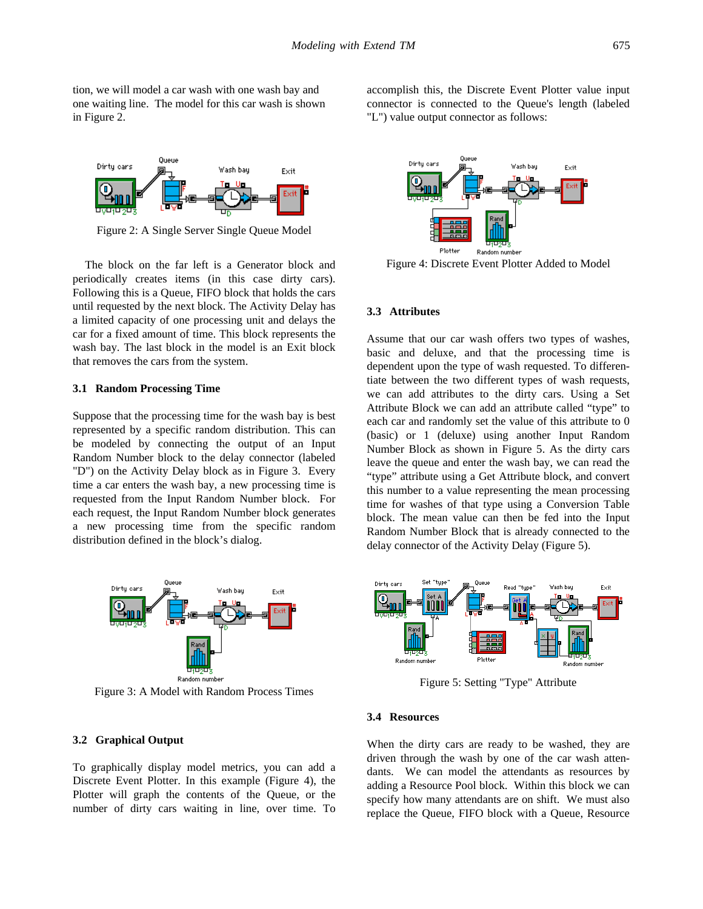tion, we will model a car wash with one wash bay and one waiting line. The model for this car wash is shown in Figure 2.



Figure 2: A Single Server Single Queue Model

The block on the far left is a Generator block and periodically creates items (in this case dirty cars). Following this is a Queue, FIFO block that holds the cars until requested by the next block. The Activity Delay has a limited capacity of one processing unit and delays the car for a fixed amount of time. This block represents the wash bay. The last block in the model is an Exit block that removes the cars from the system.

### **3.1 Random Processing Time**

Suppose that the processing time for the wash bay is best represented by a specific random distribution. This can be modeled by connecting the output of an Input Random Number block to the delay connector (labeled "D") on the Activity Delay block as in Figure 3. Every time a car enters the wash bay, a new processing time is requested from the Input Random Number block. For each request, the Input Random Number block generates a new processing time from the specific random distribution defined in the block's dialog.



Figure 3: A Model with Random Process Times

## **3.2 Graphical Output**

To graphically display model metrics, you can add a Discrete Event Plotter. In this example (Figure 4), the Plotter will graph the contents of the Queue, or the number of dirty cars waiting in line, over time. To

accomplish this, the Discrete Event Plotter value input connector is connected to the Queue's length (labeled "L") value output connector as follows:



Figure 4: Discrete Event Plotter Added to Model

#### **3.3 Attributes**

Assume that our car wash offers two types of washes, basic and deluxe, and that the processing time is dependent upon the type of wash requested. To differentiate between the two different types of wash requests, we can add attributes to the dirty cars. Using a Set Attribute Block we can add an attribute called "type" to each car and randomly set the value of this attribute to 0 (basic) or 1 (deluxe) using another Input Random Number Block as shown in Figure 5. As the dirty cars leave the queue and enter the wash bay, we can read the "type" attribute using a Get Attribute block, and convert this number to a value representing the mean processing time for washes of that type using a Conversion Table block. The mean value can then be fed into the Input Random Number Block that is already connected to the delay connector of the Activity Delay (Figure 5).



Figure 5: Setting "Type" Attribute

### **3.4 Resources**

When the dirty cars are ready to be washed, they are driven through the wash by one of the car wash attendants. We can model the attendants as resources by adding a Resource Pool block. Within this block we can specify how many attendants are on shift. We must also replace the Queue, FIFO block with a Queue, Resource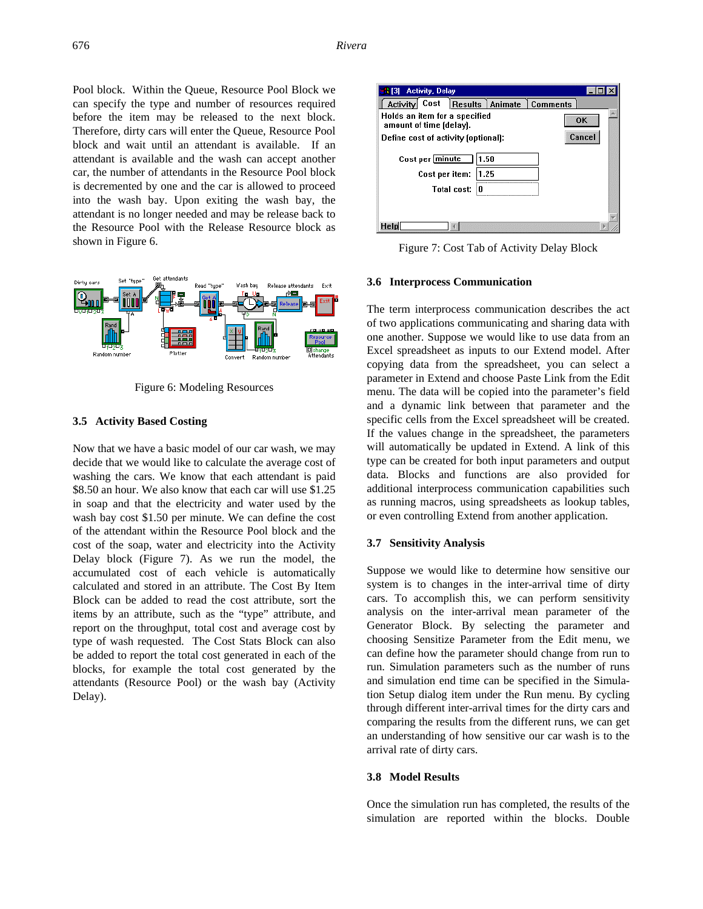Pool block. Within the Queue, Resource Pool Block we can specify the type and number of resources required before the item may be released to the next block. Therefore, dirty cars will enter the Queue, Resource Pool block and wait until an attendant is available. If an attendant is available and the wash can accept another car, the number of attendants in the Resource Pool block is decremented by one and the car is allowed to proceed into the wash bay. Upon exiting the wash bay, the attendant is no longer needed and may be release back to the Resource Pool with the Release Resource block as shown in Figure 6.



Figure 6: Modeling Resources

## **3.5 Activity Based Costing**

Now that we have a basic model of our car wash, we may decide that we would like to calculate the average cost of washing the cars. We know that each attendant is paid \$8.50 an hour. We also know that each car will use \$1.25 in soap and that the electricity and water used by the wash bay cost \$1.50 per minute. We can define the cost of the attendant within the Resource Pool block and the cost of the soap, water and electricity into the Activity Delay block (Figure 7). As we run the model, the accumulated cost of each vehicle is automatically calculated and stored in an attribute. The Cost By Item Block can be added to read the cost attribute, sort the items by an attribute, such as the "type" attribute, and report on the throughput, total cost and average cost by type of wash requested. The Cost Stats Block can also be added to report the total cost generated in each of the blocks, for example the total cost generated by the attendants (Resource Pool) or the wash bay (Activity Delay).



Figure 7: Cost Tab of Activity Delay Block

### **3.6 Interprocess Communication**

The term interprocess communication describes the act of two applications communicating and sharing data with one another. Suppose we would like to use data from an Excel spreadsheet as inputs to our Extend model. After copying data from the spreadsheet, you can select a parameter in Extend and choose Paste Link from the Edit menu. The data will be copied into the parameter's field and a dynamic link between that parameter and the specific cells from the Excel spreadsheet will be created. If the values change in the spreadsheet, the parameters will automatically be updated in Extend. A link of this type can be created for both input parameters and output data. Blocks and functions are also provided for additional interprocess communication capabilities such as running macros, using spreadsheets as lookup tables, or even controlling Extend from another application.

#### **3.7 Sensitivity Analysis**

Suppose we would like to determine how sensitive our system is to changes in the inter-arrival time of dirty cars. To accomplish this, we can perform sensitivity analysis on the inter-arrival mean parameter of the Generator Block. By selecting the parameter and choosing Sensitize Parameter from the Edit menu, we can define how the parameter should change from run to run. Simulation parameters such as the number of runs and simulation end time can be specified in the Simulation Setup dialog item under the Run menu. By cycling through different inter-arrival times for the dirty cars and comparing the results from the different runs, we can get an understanding of how sensitive our car wash is to the arrival rate of dirty cars.

## **3.8 Model Results**

Once the simulation run has completed, the results of the simulation are reported within the blocks. Double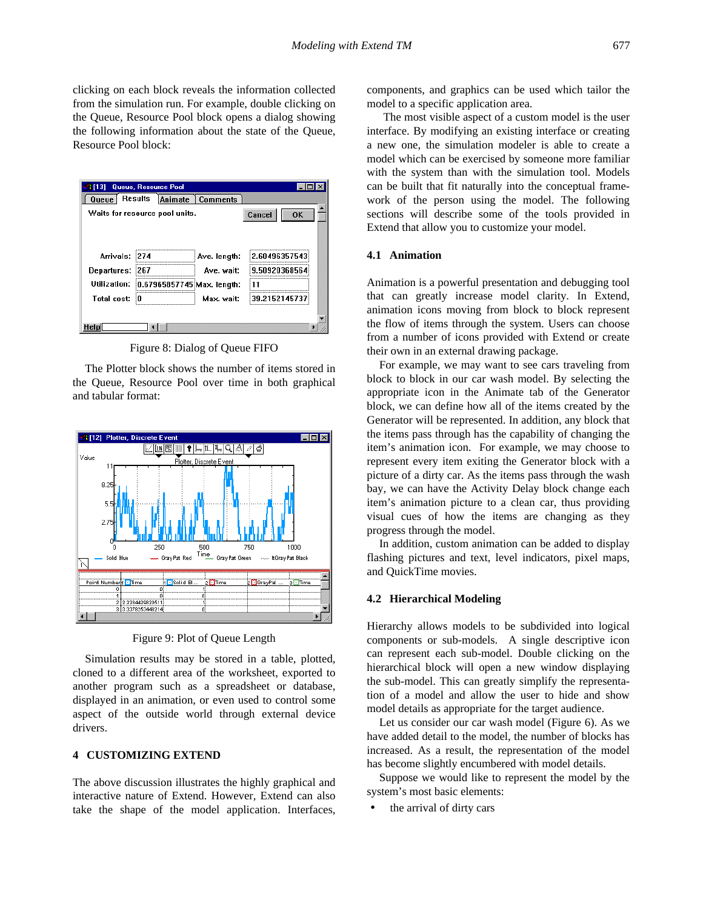clicking on each block reveals the information collected from the simulation run. For example, double clicking on the Queue, Resource Pool block opens a dialog showing the following information about the state of the Queue, Resource Pool block:

| Queue, Resource Pool<br>H131   |                            |  |                    |                     |
|--------------------------------|----------------------------|--|--------------------|---------------------|
| Queue                          | Results                    |  | Animate   Comments |                     |
| Waits for resource pool units. |                            |  |                    | Cancel<br><b>OK</b> |
|                                |                            |  |                    |                     |
|                                |                            |  |                    |                     |
| Arrivals: 274                  |                            |  | Ave. length:       | 2.60496357543       |
| Departures:                    | -267                       |  | Ave. wait:         | 9.50920368564       |
| Utilization:                   | 0.67965857745 Max. length: |  |                    |                     |
| Total cost:                    | ៉ា                         |  | Max. wait:         | 39.2152145737       |
|                                |                            |  |                    |                     |
| Helr                           |                            |  |                    |                     |

Figure 8: Dialog of Queue FIFO

The Plotter block shows the number of items stored in the Queue, Resource Pool over time in both graphical and tabular format:



Figure 9: Plot of Queue Length

Simulation results may be stored in a table, plotted, cloned to a different area of the worksheet, exported to another program such as a spreadsheet or database, displayed in an animation, or even used to control some aspect of the outside world through external device drivers.

## **4 CUSTOMIZING EXTEND**

The above discussion illustrates the highly graphical and interactive nature of Extend. However, Extend can also take the shape of the model application. Interfaces, components, and graphics can be used which tailor the model to a specific application area.

The most visible aspect of a custom model is the user interface. By modifying an existing interface or creating a new one, the simulation modeler is able to create a model which can be exercised by someone more familiar with the system than with the simulation tool. Models can be built that fit naturally into the conceptual framework of the person using the model. The following sections will describe some of the tools provided in Extend that allow you to customize your model.

## **4.1 Animation**

Animation is a powerful presentation and debugging tool that can greatly increase model clarity. In Extend, animation icons moving from block to block represent the flow of items through the system. Users can choose from a number of icons provided with Extend or create their own in an external drawing package.

For example, we may want to see cars traveling from block to block in our car wash model. By selecting the appropriate icon in the Animate tab of the Generator block, we can define how all of the items created by the Generator will be represented. In addition, any block that the items pass through has the capability of changing the item's animation icon. For example, we may choose to represent every item exiting the Generator block with a picture of a dirty car. As the items pass through the wash bay, we can have the Activity Delay block change each item's animation picture to a clean car, thus providing visual cues of how the items are changing as they progress through the model.

In addition, custom animation can be added to display flashing pictures and text, level indicators, pixel maps, and QuickTime movies.

## **4.2 Hierarchical Modeling**

Hierarchy allows models to be subdivided into logical components or sub-models. A single descriptive icon can represent each sub-model. Double clicking on the hierarchical block will open a new window displaying the sub-model. This can greatly simplify the representation of a model and allow the user to hide and show model details as appropriate for the target audience.

Let us consider our car wash model (Figure 6). As we have added detail to the model, the number of blocks has increased. As a result, the representation of the model has become slightly encumbered with model details.

Suppose we would like to represent the model by the system's most basic elements:

the arrival of dirty cars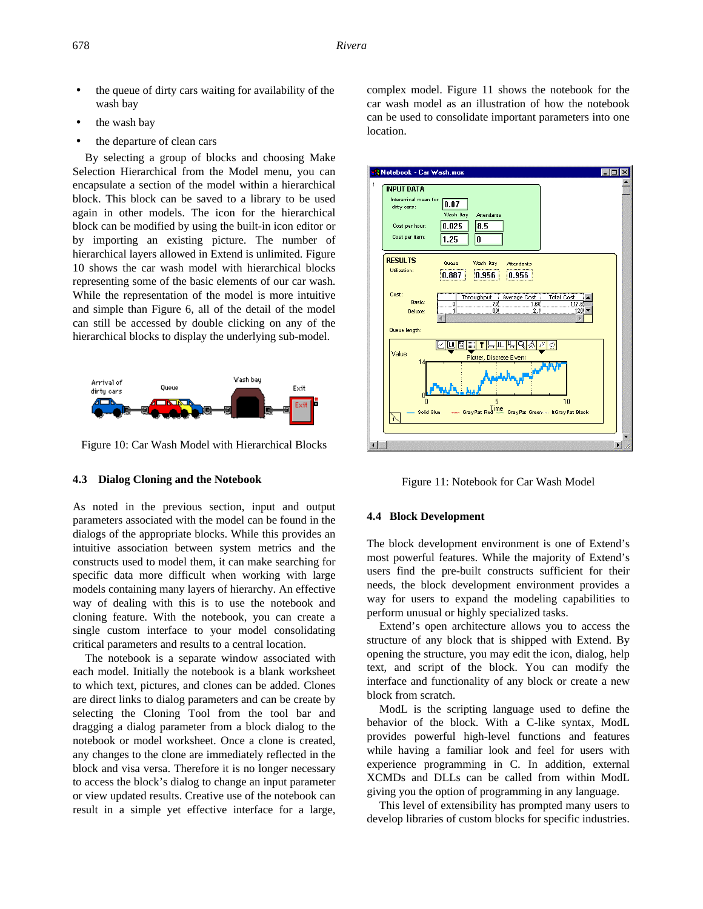- the queue of dirty cars waiting for availability of the wash bay
- the wash bay
- the departure of clean cars

By selecting a group of blocks and choosing Make Selection Hierarchical from the Model menu, you can encapsulate a section of the model within a hierarchical block. This block can be saved to a library to be used again in other models. The icon for the hierarchical block can be modified by using the built-in icon editor or by importing an existing picture. The number of hierarchical layers allowed in Extend is unlimited. Figure 10 shows the car wash model with hierarchical blocks representing some of the basic elements of our car wash. While the representation of the model is more intuitive and simple than Figure 6, all of the detail of the model can still be accessed by double clicking on any of the hierarchical blocks to display the underlying sub-model.



Figure 10: Car Wash Model with Hierarchical Blocks

## **4.3 Dialog Cloning and the Notebook**

As noted in the previous section, input and output parameters associated with the model can be found in the dialogs of the appropriate blocks. While this provides an intuitive association between system metrics and the constructs used to model them, it can make searching for specific data more difficult when working with large models containing many layers of hierarchy. An effective way of dealing with this is to use the notebook and cloning feature. With the notebook, you can create a single custom interface to your model consolidating critical parameters and results to a central location.

The notebook is a separate window associated with each model. Initially the notebook is a blank worksheet to which text, pictures, and clones can be added. Clones are direct links to dialog parameters and can be create by selecting the Cloning Tool from the tool bar and dragging a dialog parameter from a block dialog to the notebook or model worksheet. Once a clone is created, any changes to the clone are immediately reflected in the block and visa versa. Therefore it is no longer necessary to access the block's dialog to change an input parameter or view updated results. Creative use of the notebook can result in a simple yet effective interface for a large,

complex model. Figure 11 shows the notebook for the car wash model as an illustration of how the notebook can be used to consolidate important parameters into one location.



Figure 11: Notebook for Car Wash Model

#### **4.4 Block Development**

The block development environment is one of Extend's most powerful features. While the majority of Extend's users find the pre-built constructs sufficient for their needs, the block development environment provides a way for users to expand the modeling capabilities to perform unusual or highly specialized tasks.

Extend's open architecture allows you to access the structure of any block that is shipped with Extend. By opening the structure, you may edit the icon, dialog, help text, and script of the block. You can modify the interface and functionality of any block or create a new block from scratch.

ModL is the scripting language used to define the behavior of the block. With a C-like syntax, ModL provides powerful high-level functions and features while having a familiar look and feel for users with experience programming in C. In addition, external XCMDs and DLLs can be called from within ModL giving you the option of programming in any language.

This level of extensibility has prompted many users to develop libraries of custom blocks for specific industries.